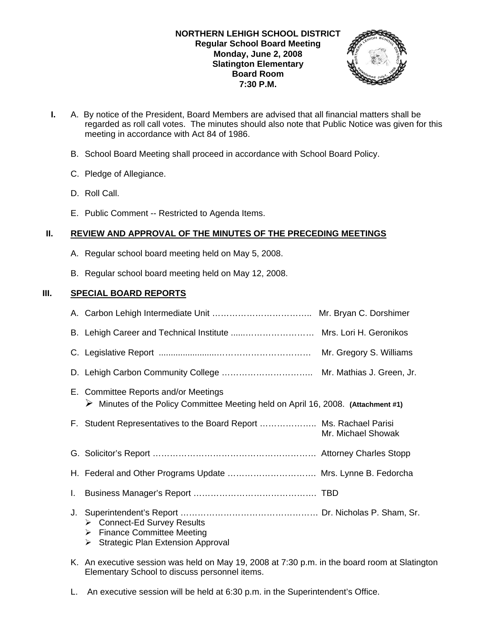

- **I.** A. By notice of the President, Board Members are advised that all financial matters shall be regarded as roll call votes. The minutes should also note that Public Notice was given for this meeting in accordance with Act 84 of 1986.
	- B. School Board Meeting shall proceed in accordance with School Board Policy.
	- C. Pledge of Allegiance.
	- D. Roll Call.
	- E. Public Comment -- Restricted to Agenda Items.

# **II. REVIEW AND APPROVAL OF THE MINUTES OF THE PRECEDING MEETINGS**

- A. Regular school board meeting held on May 5, 2008.
- B. Regular school board meeting held on May 12, 2008.

# **III. SPECIAL BOARD REPORTS**

|    | E. Committee Reports and/or Meetings<br>> Minutes of the Policy Committee Meeting held on April 16, 2008. (Attachment #1)  |                    |
|----|----------------------------------------------------------------------------------------------------------------------------|--------------------|
|    | F. Student Representatives to the Board Report  Ms. Rachael Parisi                                                         | Mr. Michael Showak |
|    |                                                                                                                            |                    |
|    | H. Federal and Other Programs Update  Mrs. Lynne B. Fedorcha                                                               |                    |
| Ι. |                                                                                                                            |                    |
| J. | ▶ Connect-Ed Survey Results<br><b>Finance Committee Meeting</b><br>➤<br>$\triangleright$ Strategic Plan Extension Approval |                    |

- K. An executive session was held on May 19, 2008 at 7:30 p.m. in the board room at Slatington Elementary School to discuss personnel items.
- L. An executive session will be held at 6:30 p.m. in the Superintendent's Office.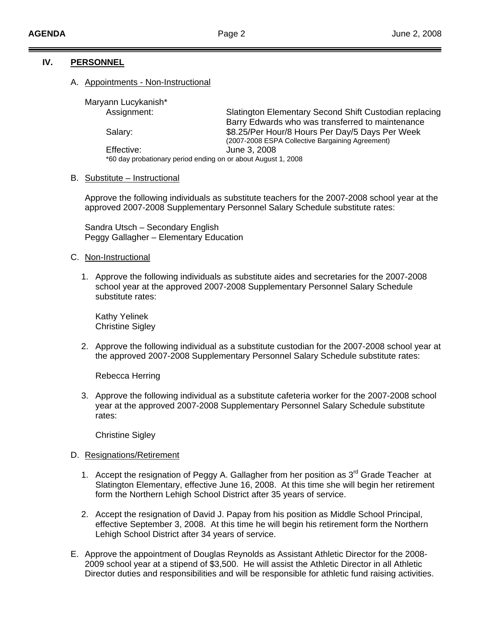### **IV. PERSONNEL**

#### A. Appointments - Non-Instructional

Maryann Lucykanish\*

Assignment: **ing ig a ig entity Second Shift Custodian replacing** eek ive Bargaining Agreement) Salary: \$8.25/Per Hour/8 Hours Per Day/5 Days Per W (2007-2008 ESPA Collect \*60 day probationary period ending on or about August 1, 2008 Barry Edwards who was transferred to maintenance Effective: June 3, 2008

## B. Substitute - Instructional

Approve the following individuals as substitute teachers for the 2007-2008 school year at the approved 2007-2008 Supplementary Personnel Salary Schedule substitute rates:

Peggy Gallagher – Elementary Education Sandra Utsch – Secondary English

- C. Non-Instructional
	- 1. Approve the following individuals as substitute aides and secretaries for the 2007-2008 school year at the approved 2007-2008 Supplementary Personnel Salary Schedule substitute rates:

Christine Sigley Kathy Yelinek

2. Approve the following individual as a substitute custodian for the 2007-2008 school year at the approved 2007-2008 Supplementary Personnel Salary Schedule substitute rates:

Rebecca Herring

3. Approve the following individual as a substitute cafeteria worker for the 2007-2008 school year at the approved 2007-2008 Supplementary Personnel Salary Schedule substitute rates:

Christine Sigley

#### D. Resignations/Retirement

- 1. Accept the resignation of Peggy A. Gallagher from her position as  $3<sup>rd</sup>$  Grade Teacher at Slatington Elementary, effective June 16, 2008. At this time she will begin her retirement form the Northern Lehigh School District after 35 years of service.
- 2. Accept the resignation of David J. Papay from his position as Middle School Principal, effective September 3, 2008. At this time he will begin his retirement form the Northern Lehigh School District after 34 years of service.
- E. Approve the appointment of Douglas Reynolds as Assistant Athletic Director for the 2008- Director duties and responsibilities and will be responsible for athletic fund raising activities. 2009 school year at a stipend of \$3,500. He will assist the Athletic Director in all Athletic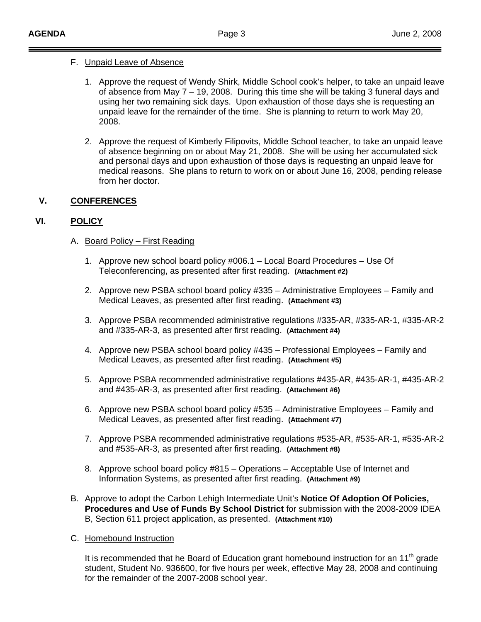## F. Unpaid Leave of Absence

- 1. Approve the request of Wendy Shirk, Middle School cook's helper, to take an unpaid leave using her two remaining sick days. Upon exhaustion of those days she is requesting an unpaid leave for the remainder of the time. She is planning to return to work May 20, 2008. of absence from May 7 – 19, 2008. During this time she will be taking 3 funeral days and
- 2. Approve the request of Kimberly Filipovits, Middle School teacher, to take an unpaid leave medical reasons. She plans to return to work on or about June 16, 2008, pending release from her doctor. of absence beginning on or about May 21, 2008. She will be using her accumulated sick and personal days and upon exhaustion of those days is requesting an unpaid leave for

# **V. CONFERENCES**

# **VI. POLICY**

- A. Board Policy First Reading
	- 1. Approve new school board policy #006.1 Local Board Procedures Use Of Teleconferencing, as presented after first reading. **(Attachment #2)**
	- 2. Approve new PSBA school board policy #335 Administrative Employees Family and Medical Leaves, as presented after first reading. **(Attachment #3)**
	- 3. Approve PSBA recommended administrative regulations #335-AR, #335-AR-1, #335-AR-2 and #335-AR-3, as presented after first reading. **(Attachment #4)**
	- 4. Approve new PSBA school board policy #435 Professional Employees Family and Medical Leaves, as presented after first reading. **(Attachment #5)**
	- 5. Approve PSBA recommended administrative regulations #435-AR, #435-AR-1, #435-AR-2 and #435-AR-3, as presented after first reading. **(Attachment #6)**
	- 6. Approve new PSBA school board policy #535 Administrative Employees Family and Medical Leaves, as presented after first reading. **(Attachment #7)**
	- 7. Approve PSBA recommended administrative regulations #535-AR, #535-AR-1, #535-AR-2 and #535-AR-3, as presented after first reading. **(Attachment #8)**
	- 8. Approve school board policy #815 Operations Acceptable Use of Internet and Information Systems, as presented after first reading. **(Attachment #9)**
- B. Approve to adopt the Carbon Lehigh Intermediate Unit's **Notice Of Adoption Of Policies,**  Procedures and Use of Funds By School District for submission with the 2008-2009 IDEA B, Section 611 project application, as presented. **(Attachment #10)**
- C. Homebound Instruction

student, Student No. 936600, for five hours per week, effective May 28, 2008 and continuing for the remainder of the 2007-2008 school year. It is recommended that he Board of Education grant homebound instruction for an 11<sup>th</sup> grade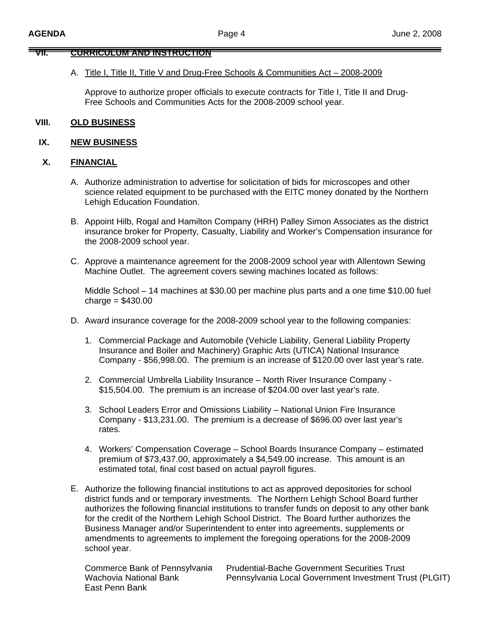# **VII. CURRICULUM AND INSTRUCTION**

#### A. Title I, Title II, Title V and Drug-Free Schools & Communities Act – 2008-2009

Approve to authorize proper officials to execute contracts for Title I, Title II and Drug-Free Schools and Communities Acts for the 2008-2009 school year.

#### **OLD BUSINESS V**

## **IX. NEW BUSINESS**

#### **X. FINANCIAL**

- A. Authorize administration to advertise for solicitation of bids for microscopes and other science related equipment to be purchased with the EITC money donated by the Northern Lehigh Education Foundation.
- B. Appoint Hilb, Rogal and Hamilton Company (HRH) Palley Simon Associates as the district insurance broker for Property, Casualty, Liability and Worker's Compensation insurance for the 2008-2009 school year.
- C. Approve a maintenance agreement for the 2008-2009 school year with Allentown Sewing Machine Outlet. The agreement covers sewing machines located as follows:

Middle School – 14 machines at \$30.00 per machine plus parts and a one time \$10.00 fuel  $charge = $430.00$ 

- . Award insurance coverage for the 2008-2009 school year to the following companies: D
	- 1. Commercial Package and Automobile (Vehicle Liability, General Liability Property Company - \$56,998.00. The premium is an increase of \$120.00 over last year's rate. Insurance and Boiler and Machinery) Graphic Arts (UTICA) National Insurance
	- 2. Commercial Umbrella Liability Insurance North River Insurance Company -\$15,504.00. The premium is an increase of \$204.00 over last year's rate.
	- 3. School Leaders Error and Omissions Liability National Union Fire Insurance Company - \$13,231.00. The premium is a decrease of \$696.00 over last year's rates.
	- 4. Workers' Compensation Coverage School Boards Insurance Company estimated premium of \$73,437.00, approximately a \$4,549.00 increase. This amount is an estimated total, final cost based on actual payroll figures.
- E. Authorize the following financial institutions to act as approved depositories for school authorizes the following financial institutions to transfer funds on deposit to any other bank amendments to agreements to implement the foregoing operations for the 2008-2009 school year. district funds and or temporary investments. The Northern Lehigh School Board further for the credit of the Northern Lehigh School District. The Board further authorizes the Business Manager and/or Superintendent to enter into agreements, supplements or

Commerce Bank of Pennsylvania Wachovia National Bank East Penn Bank

Pennsylvania Local Government Investment Trust (PLGIT) **Prudential-Bache Government Securities Trust**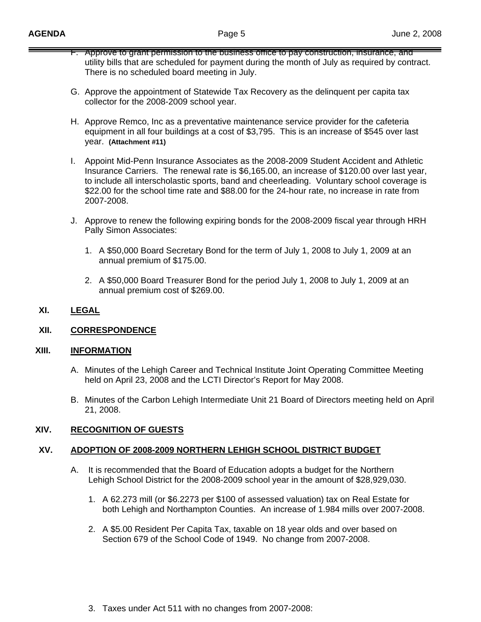- F. Approve to grant permission to the business office to pay construction, insurance, and utility bills that are scheduled for payment during the month of July as required by contract. There is no scheduled board meeting in July.
- G. Approve the appointment of Statewide Tax Recovery as the delinquent per capita tax collector for the 2008-2009 school year.
- H. Approve Remco, Inc as a preventative maintenance service provider for the cafeteria equipment in all four buildings at a cost of \$3,795. This is an increase of \$545 over last year. **(Attachment #11)**
- I. Appoint Mid-Penn Insurance Associates as the 2008-2009 Student Accident and Athletic Insurance Carriers. The renewal rate is \$6,165.00, an increase of \$120.00 over last year, to include all interscholastic sports, band and cheerleading. Voluntary school coverage is \$22.00 for the school time rate and \$88.00 for the 24-hour rate, no increase in rate from 2007-2008.
- J. Approve to renew the following expiring bonds for the 2008-2009 fiscal year through HRH Pally Simon Associates:
	- 1. A \$50,000 Board Secretary Bond for the term of July 1, 2008 to July 1, 2009 at an annual premium of \$175.00.
	- 2. A \$50,000 Board Treasurer Bond for the period July 1, 2008 to July 1, 2009 at an annual premium cost of \$269.00.

## **XI. LEGAL**

# **XII. CORRESPONDENCE**

### **XIII. INFORMATION**

- A. Minutes of the Lehigh Career and Technical Institute Joint Operating Committee Meeting held on April 23, 2008 and the LCTI Director's Report for May 2008.
- B. Minutes of the Carbon Lehigh Intermediate Unit 21 Board of Directors meeting held on April 21, 2008.

## **XIV. RECOGNITION OF GUESTS**

### **XV. ADOPTION OF 2008-2009 NORTHERN LEHIGH SCHOOL DISTRICT BUDGET**

- A. It is recommended that the Board of Education adopts a budget for the Northern Lehigh School District for the 2008-2009 school year in the amount of \$28,929,030.
	- 1. A 62.273 mill (or \$6.2273 per \$100 of assessed valuation) tax on Real Estate for both Lehigh and Northampton Counties. An increase of 1.984 mills over 2007-2008.
	- 2. A \$5.00 Resident Per Capita Tax, taxable on 18 year olds and over based on Section 679 of the School Code of 1949. No change from 2007-2008.
	- 3. Taxes under Act 511 with no changes from 2007-2008: